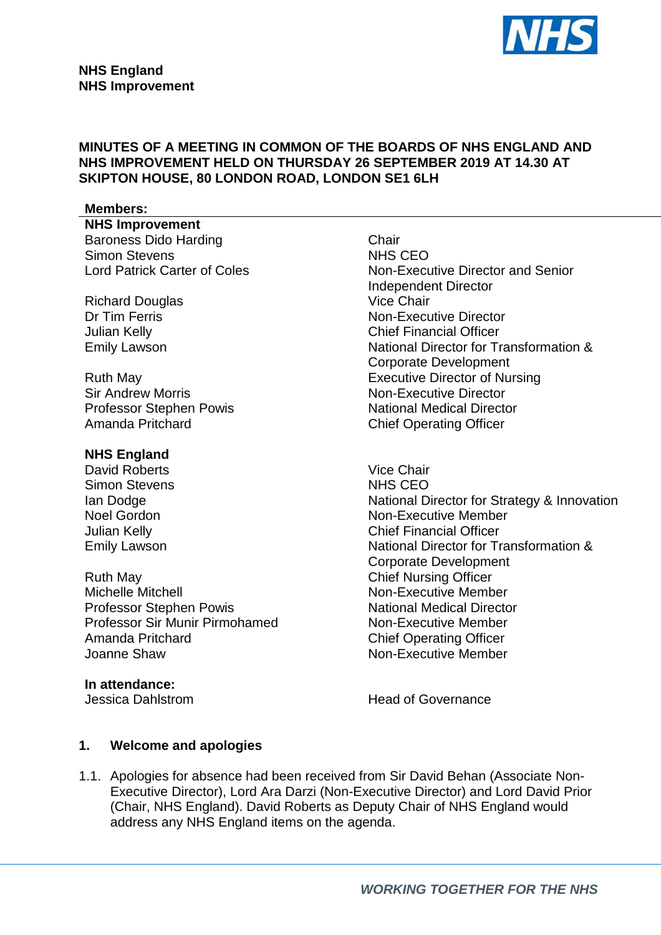

#### **MINUTES OF A MEETING IN COMMON OF THE BOARDS OF NHS ENGLAND AND NHS IMPROVEMENT HELD ON THURSDAY 26 SEPTEMBER 2019 AT 14.30 AT SKIPTON HOUSE, 80 LONDON ROAD, LONDON SE1 6LH**

#### **Members:**

**NHS Improvement**  Baroness Dido Harding and Chair Chair<br>Simon Stevens Chair CEO Simon Stevens

Richard Douglas<br>Dr Tim Ferris

Sir Andrew Morris Non-Executive Director Amanda Pritchard **Chief Operating Officer** 

#### **NHS England**

David Roberts Vice Chair Simon Stevens

Ruth May Chief Nursing Officer Michelle Mitchell **Non-Executive Member** Non-Executive Member Professor Stephen Powis National Medical Director Professor Sir Munir Pirmohamed<br>
Amanda Pritchard<br>
Chief Operating Officer Amanda Pritchard **Chief Operating Officer<br>
Joanne Shaw** Chief Operating Officer<br>
Non-Executive Member

**In attendance:**

Lord Patrick Carter of Coles Non-Executive Director and Senior Independent Director<br>Vice Chair Non-Executive Director Julian Kelly Chief Financial Officer Emily Lawson **National Director for Transformation &** Corporate Development Ruth May Executive Director of Nursing Professor Stephen Powis National Medical Director

Ian Dodge National Director for Strategy & Innovation Noel Gordon Non-Executive Member<br>
Unian Kelly Non-Executive Member<br>
Chief Financial Officer Chief Financial Officer Emily Lawson **National Director for Transformation &** Corporate Development Non-Executive Member

Jessica Dahlstrom **Head of Governance** 

#### **1. Welcome and apologies**

1.1. Apologies for absence had been received from Sir David Behan (Associate Non-Executive Director), Lord Ara Darzi (Non-Executive Director) and Lord David Prior (Chair, NHS England). David Roberts as Deputy Chair of NHS England would address any NHS England items on the agenda.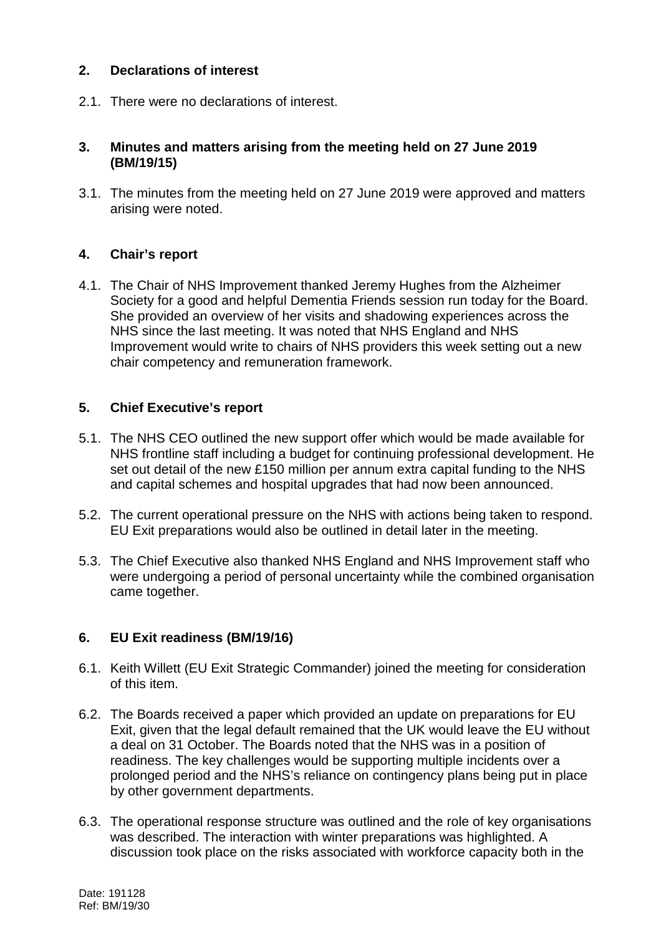#### **2. Declarations of interest**

2.1. There were no declarations of interest.

#### **3. Minutes and matters arising from the meeting held on 27 June 2019 (BM/19/15)**

3.1. The minutes from the meeting held on 27 June 2019 were approved and matters arising were noted.

#### **4. Chair's report**

4.1. The Chair of NHS Improvement thanked Jeremy Hughes from the Alzheimer Society for a good and helpful Dementia Friends session run today for the Board. She provided an overview of her visits and shadowing experiences across the NHS since the last meeting. It was noted that NHS England and NHS Improvement would write to chairs of NHS providers this week setting out a new chair competency and remuneration framework.

#### **5. Chief Executive's report**

- 5.1. The NHS CEO outlined the new support offer which would be made available for NHS frontline staff including a budget for continuing professional development. He set out detail of the new £150 million per annum extra capital funding to the NHS and capital schemes and hospital upgrades that had now been announced.
- 5.2. The current operational pressure on the NHS with actions being taken to respond. EU Exit preparations would also be outlined in detail later in the meeting.
- 5.3. The Chief Executive also thanked NHS England and NHS Improvement staff who were undergoing a period of personal uncertainty while the combined organisation came together.

## **6. EU Exit readiness (BM/19/16)**

- 6.1. Keith Willett (EU Exit Strategic Commander) joined the meeting for consideration of this item.
- 6.2. The Boards received a paper which provided an update on preparations for EU Exit, given that the legal default remained that the UK would leave the EU without a deal on 31 October. The Boards noted that the NHS was in a position of readiness. The key challenges would be supporting multiple incidents over a prolonged period and the NHS's reliance on contingency plans being put in place by other government departments.
- 6.3. The operational response structure was outlined and the role of key organisations was described. The interaction with winter preparations was highlighted. A discussion took place on the risks associated with workforce capacity both in the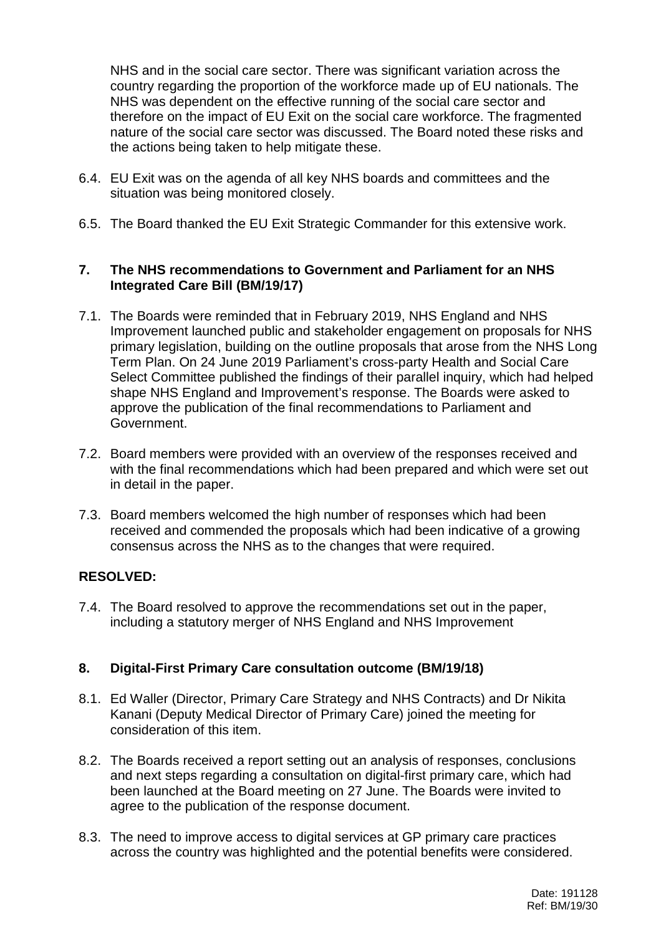NHS and in the social care sector. There was significant variation across the country regarding the proportion of the workforce made up of EU nationals. The NHS was dependent on the effective running of the social care sector and therefore on the impact of EU Exit on the social care workforce. The fragmented nature of the social care sector was discussed. The Board noted these risks and the actions being taken to help mitigate these.

- 6.4. EU Exit was on the agenda of all key NHS boards and committees and the situation was being monitored closely.
- 6.5. The Board thanked the EU Exit Strategic Commander for this extensive work.

## **7. The NHS recommendations to Government and Parliament for an NHS Integrated Care Bill (BM/19/17)**

- 7.1. The Boards were reminded that in February 2019, NHS England and NHS Improvement launched public and stakeholder engagement on proposals for NHS primary legislation, building on the outline proposals that arose from the NHS Long Term Plan. On 24 June 2019 Parliament's cross-party Health and Social Care Select Committee published the findings of their parallel inquiry, which had helped shape NHS England and Improvement's response. The Boards were asked to approve the publication of the final recommendations to Parliament and Government.
- 7.2. Board members were provided with an overview of the responses received and with the final recommendations which had been prepared and which were set out in detail in the paper.
- 7.3. Board members welcomed the high number of responses which had been received and commended the proposals which had been indicative of a growing consensus across the NHS as to the changes that were required.

## **RESOLVED:**

7.4. The Board resolved to approve the recommendations set out in the paper, including a statutory merger of NHS England and NHS Improvement

## **8. Digital-First Primary Care consultation outcome (BM/19/18)**

- 8.1. Ed Waller (Director, Primary Care Strategy and NHS Contracts) and Dr Nikita Kanani (Deputy Medical Director of Primary Care) joined the meeting for consideration of this item.
- 8.2. The Boards received a report setting out an analysis of responses, conclusions and next steps regarding a consultation on digital-first primary care, which had been launched at the Board meeting on 27 June. The Boards were invited to agree to the publication of the response document.
- 8.3. The need to improve access to digital services at GP primary care practices across the country was highlighted and the potential benefits were considered.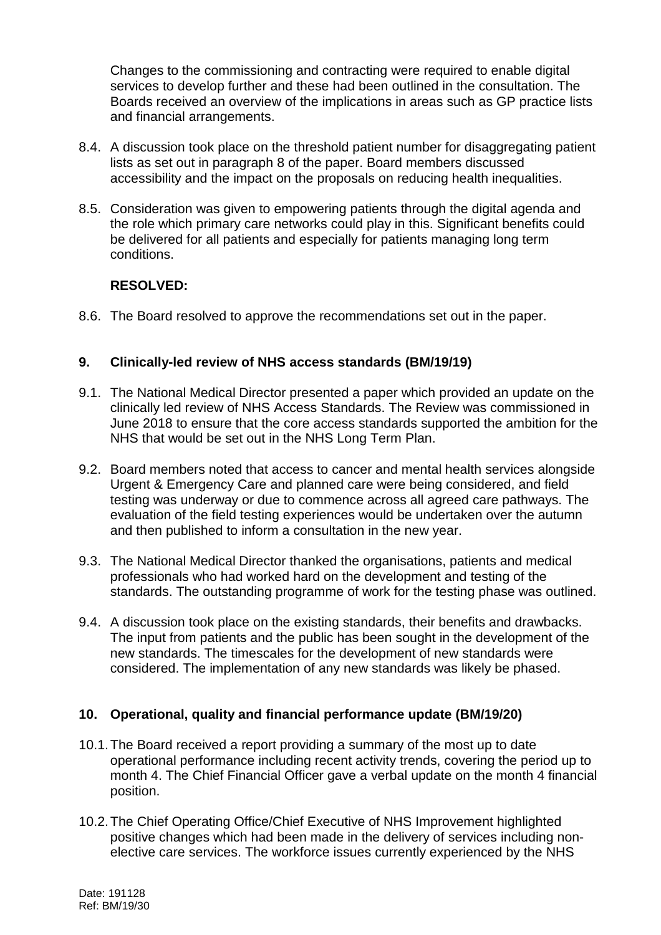Changes to the commissioning and contracting were required to enable digital services to develop further and these had been outlined in the consultation. The Boards received an overview of the implications in areas such as GP practice lists and financial arrangements.

- 8.4. A discussion took place on the threshold patient number for disaggregating patient lists as set out in paragraph 8 of the paper. Board members discussed accessibility and the impact on the proposals on reducing health inequalities.
- 8.5. Consideration was given to empowering patients through the digital agenda and the role which primary care networks could play in this. Significant benefits could be delivered for all patients and especially for patients managing long term conditions.

# **RESOLVED:**

8.6. The Board resolved to approve the recommendations set out in the paper.

## **9. Clinically-led review of NHS access standards (BM/19/19)**

- 9.1. The National Medical Director presented a paper which provided an update on the clinically led review of NHS Access Standards. The Review was commissioned in June 2018 to ensure that the core access standards supported the ambition for the NHS that would be set out in the NHS Long Term Plan.
- 9.2. Board members noted that access to cancer and mental health services alongside Urgent & Emergency Care and planned care were being considered, and field testing was underway or due to commence across all agreed care pathways. The evaluation of the field testing experiences would be undertaken over the autumn and then published to inform a consultation in the new year.
- 9.3. The National Medical Director thanked the organisations, patients and medical professionals who had worked hard on the development and testing of the standards. The outstanding programme of work for the testing phase was outlined.
- 9.4. A discussion took place on the existing standards, their benefits and drawbacks. The input from patients and the public has been sought in the development of the new standards. The timescales for the development of new standards were considered. The implementation of any new standards was likely be phased.

## **10. Operational, quality and financial performance update (BM/19/20)**

- 10.1.The Board received a report providing a summary of the most up to date operational performance including recent activity trends, covering the period up to month 4. The Chief Financial Officer gave a verbal update on the month 4 financial position.
- 10.2.The Chief Operating Office/Chief Executive of NHS Improvement highlighted positive changes which had been made in the delivery of services including nonelective care services. The workforce issues currently experienced by the NHS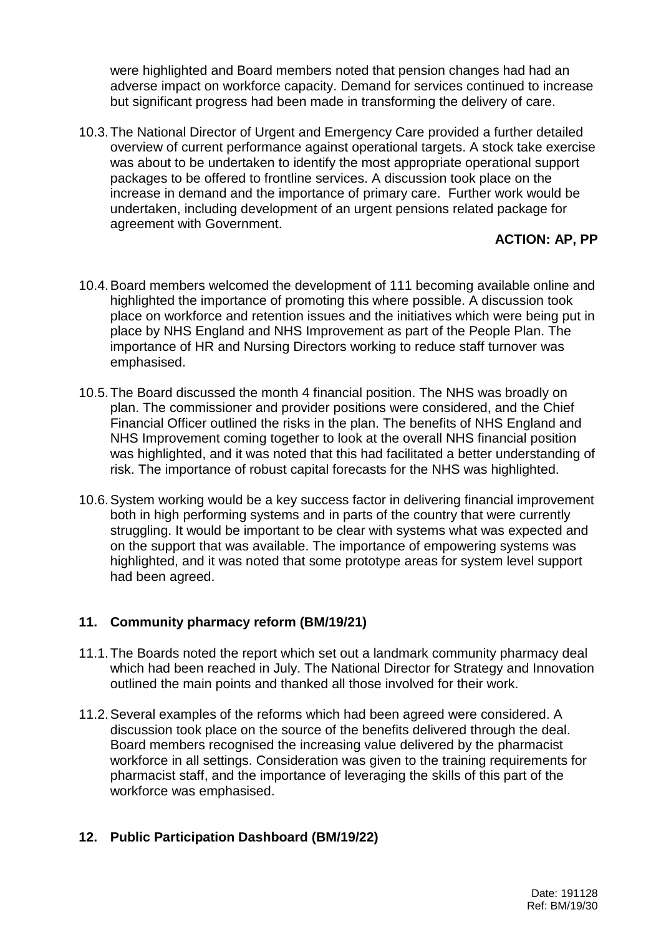were highlighted and Board members noted that pension changes had had an adverse impact on workforce capacity. Demand for services continued to increase but significant progress had been made in transforming the delivery of care.

10.3.The National Director of Urgent and Emergency Care provided a further detailed overview of current performance against operational targets. A stock take exercise was about to be undertaken to identify the most appropriate operational support packages to be offered to frontline services. A discussion took place on the increase in demand and the importance of primary care. Further work would be undertaken, including development of an urgent pensions related package for agreement with Government.

## **ACTION: AP, PP**

- 10.4.Board members welcomed the development of 111 becoming available online and highlighted the importance of promoting this where possible. A discussion took place on workforce and retention issues and the initiatives which were being put in place by NHS England and NHS Improvement as part of the People Plan. The importance of HR and Nursing Directors working to reduce staff turnover was emphasised.
- 10.5.The Board discussed the month 4 financial position. The NHS was broadly on plan. The commissioner and provider positions were considered, and the Chief Financial Officer outlined the risks in the plan. The benefits of NHS England and NHS Improvement coming together to look at the overall NHS financial position was highlighted, and it was noted that this had facilitated a better understanding of risk. The importance of robust capital forecasts for the NHS was highlighted.
- 10.6.System working would be a key success factor in delivering financial improvement both in high performing systems and in parts of the country that were currently struggling. It would be important to be clear with systems what was expected and on the support that was available. The importance of empowering systems was highlighted, and it was noted that some prototype areas for system level support had been agreed.

## **11. Community pharmacy reform (BM/19/21)**

- 11.1.The Boards noted the report which set out a landmark community pharmacy deal which had been reached in July. The National Director for Strategy and Innovation outlined the main points and thanked all those involved for their work.
- 11.2.Several examples of the reforms which had been agreed were considered. A discussion took place on the source of the benefits delivered through the deal. Board members recognised the increasing value delivered by the pharmacist workforce in all settings. Consideration was given to the training requirements for pharmacist staff, and the importance of leveraging the skills of this part of the workforce was emphasised.

## **12. Public Participation Dashboard (BM/19/22)**